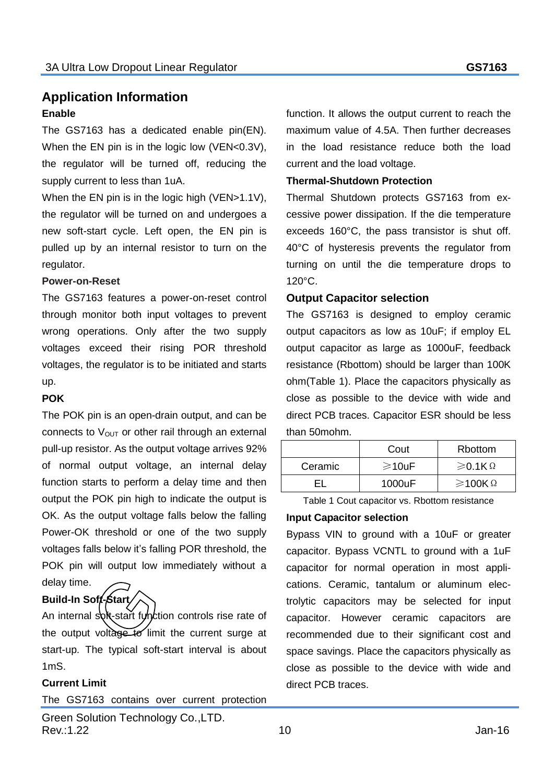## **Application Information Enable**

The GS7163 has a dedicated enable pin(EN). When the EN pin is in the logic low (VEN<0.3V), the regulator will be turned off, reducing the supply current to less than 1uA.

When the EN pin is in the logic high (VEN>1.1V), the regulator will be turned on and undergoes a new soft-start cycle. Left open, the EN pin is pulled up by an internal resistor to turn on the regulator.

#### **Power-on-Reset**

The GS7163 features a power-on-reset control through monitor both input voltages to prevent wrong operations. Only after the two supply voltages exceed their rising POR threshold voltages, the regulator is to be initiated and starts up.

#### **POK**

The POK pin is an open-drain output, and can be connects to  $V_{OUT}$  or other rail through an external pull-up resistor. As the output voltage arrives 92% of normal output voltage, an internal delay function starts to perform a delay time and then output the POK pin high to indicate the output is OK. As the output voltage falls below the falling Power-OK threshold or one of the two supply voltages falls below it's falling POR threshold, the POK pin will output low immediately without a delay time.

#### **Build-In Soft-Start**

An internal soft-start function controls rise rate of the output voltage to limit the current surge at start-up. The typical soft-start interval is about 1mS.

### **Current Limit**

The GS7163 contains over current protection

function. It allows the output current to reach the maximum value of 4.5A. Then further decreases in the load resistance reduce both the load current and the load voltage.

#### **Thermal-Shutdown Protection**

Thermal Shutdown protects GS7163 from excessive power dissipation. If the die temperature exceeds 160°C, the pass transistor is shut off. 40°C of hysteresis prevents the regulator from turning on until the die temperature drops to 120°C.

#### **Output Capacitor selection**

The GS7163 is designed to employ ceramic output capacitors as low as 10uF; if employ EL output capacitor as large as 1000uF, feedback resistance (Rbottom) should be larger than 100K ohm(Table 1). Place the capacitors physically as close as possible to the device with wide and direct PCB traces. Capacitor ESR should be less than 50mohm.

|         | Cout         | <b>Rbottom</b>            |
|---------|--------------|---------------------------|
| Ceramic | $\geq 10$ uF | $\geqslant$ 0.1K $\Omega$ |
|         | 1000uF       | $\geq$ 100K $\Omega$      |

Table 1 Cout capacitor vs. Rbottom resistance

#### **Input Capacitor selection**

Bypass VIN to ground with a 10uF or greater capacitor. Bypass VCNTL to ground with a 1uF capacitor for normal operation in most applications. Ceramic, tantalum or aluminum electrolytic capacitors may be selected for input capacitor. However ceramic capacitors are recommended due to their significant cost and space savings. Place the capacitors physically as close as possible to the device with wide and direct PCB traces.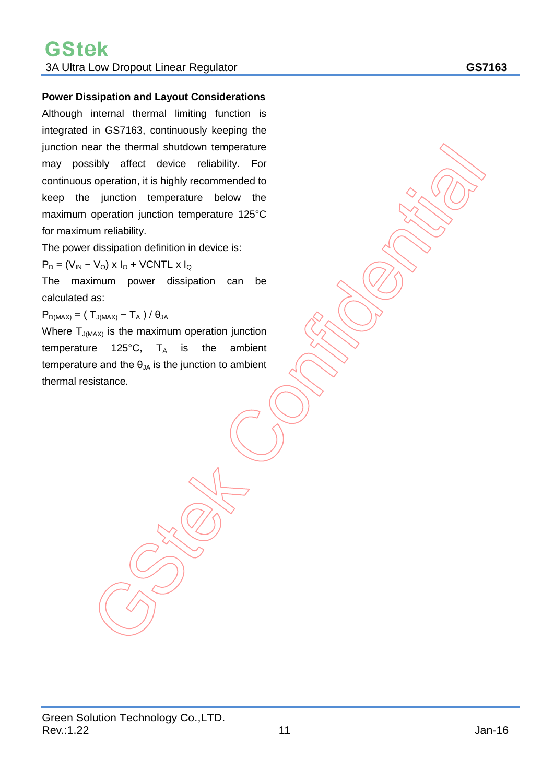#### **Power Dissipation and Layout Considerations**

Although internal thermal limiting function is integrated in GS7163, continuously keeping the junction near the thermal shutdown temperature may possibly affect device reliability. For continuous operation, it is highly recommended to keep the junction temperature below the maximum operation junction temperature 125°C for maximum reliability.

The power dissipation definition in device is:

 $P_D = (V_{IN} - V_O) \times I_O + VCNTL \times I_O$ 

The maximum power dissipation can be calculated as:

 $P_{D(MAX)} = (T_{J(MAX)} - T_A) / \theta_{JA}$ 

Where  $T_{J(MAX)}$  is the maximum operation junction temperature 125°C,  $T_A$  is the ambient temperature and the  $\theta_{JA}$  is the junction to ambient thermal resistance.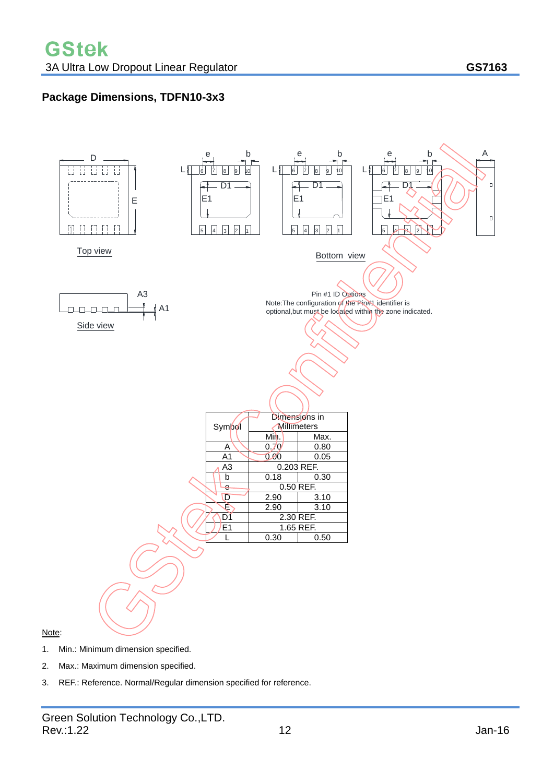# **Package Dimensions, TDFN10-3x3**



- 1. Min.: Minimum dimension specified.
- 2. Max.: Maximum dimension specified.
- 3. REF.: Reference. Normal/Regular dimension specified for reference.